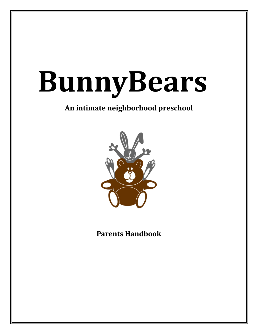# **BunnyBears**

## **An intimate neighborhood preschool**



**Parents Handbook**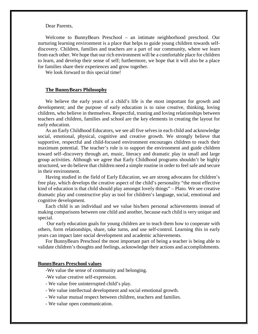Dear Parents,

Welcome to BunnyBears Preschool – an intimate neighborhood preschool. Our nurturing learning environment is a place that helps to guide young children towards selfdiscovery. Children, families and teachers are a part of our community, where we learn from each other. We hope that our rich environment will be a comfortable place for children to learn, and develop their sense of self; furthermore, we hope that it will also be a place for families share their experiences and grow together.

We look forward to this special time!

#### **The BunnyBears Philosophy**

We believe the early years of a child's life is the most important for growth and development; and the purpose of early education is to raise creative, thinking, loving children, who believe in themselves. Respectful, trusting and loving relationships between teachers and children, families and school are the key elements in creating the layout for early education.

As an Early Childhood Educators, we see all five selves in each child and acknowledge social, emotional, physical, cognitive and creative growth. We strongly believe that supportive, respectful and child-focused environment encourages children to reach their maximum potential. The teacher's role is to support the environment and guide children toward self–discovery through art, music, literacy and dramatic play in small and large group activities. Although we agree that Early Childhood programs shouldn't be highly structured, we do believe that children need a simple routine in order to feel safe and secure in their environment.

Having studied in the field of Early Education, we are strong advocates for children's free play, which develops the creative aspect of the child's personality "the most effective kind of education is that child should play amongst lovely things" – Plato. We see creative dramatic play and constructive play as tool for children's language, social, emotional and cognitive development.

Each child is an individual and we value his/hers personal achievements instead of making comparisons between one child and another, because each child is very unique and special.

Our early education goals for young children are to teach them how to cooperate with others, form relationships, share, take turns, and use self-control. Learning this in early years can impact later social development and academic achievements.

For BunnyBears Preschool the most important part of being a teacher is being able to validate children's thoughts and feelings, acknowledge their actions and accomplishments.

#### **BunnyBears Preschool values**

-We value the sense of community and belonging.

- -We value creative self-expression.
- We value free uninterrupted child's play.
- We value intellectual development and social emotional growth.
- We value mutual respect between children, teachers and families.
- We value open communication.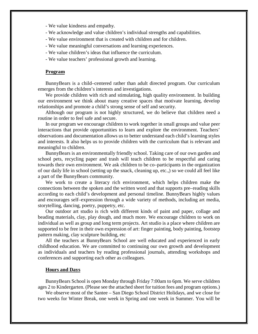- We value kindness and empathy.
- We acknowledge and value children's individual strengths and capabilities.
- We value environment that is created with children and for children.
- We value meaningful conversations and learning experiences.
- We value children's ideas that influence the curriculum.
- We value teachers' professional growth and learning.

#### **Program**

BunnyBears is a child–centered rather than adult directed program. Our curriculum emerges from the children's interests and investigations.

We provide children with rich and stimulating, high quality environment. In building our environment we think about many creative spaces that motivate learning, develop relationships and promote a child's strong sense of self and security.

Although our program is not highly structured, we do believe that children need a routine in order to feel safe and secure.

In our program we encourage children to work together in small groups and value peer interactions that provide opportunities to learn and explore the environment. Teachers' observations and documentation allows us to better understand each child's learning styles and interests. It also helps us to provide children with the curriculum that is relevant and meaningful to children.

BunnyBears is an environmentally friendly school. Taking care of our own garden and school pets, recycling paper and trash will teach children to be respectful and caring towards their own environment. We ask children to be co–participants in the organization of our daily life in school (setting up the snack, cleaning up, etc.,) so we could all feel like a part of the BunnyBears community.

We work to create a literacy rich environment, which helps children make the connections between the spoken and the written word and that supports pre–reading skills according to each child's development and personal timeline. BunnyBears highly values and encourages self–expression through a wide variety of methods, including art media, storytelling, dancing, poetry, puppetry, etc.

Our outdoor art studio is rich with different kinds of paint and paper, collage and beading materials, clay, play dough, and much more. We encourage children to work on individual as well as group and long term projects. Art studio is a place where children are supported to be free in their own expression of art: finger painting, body painting, footstep pattern making, clay sculpture building, etc

All the teachers at BunnyBears School are well educated and experienced in early childhood education. We are committed to continuing our own growth and development as individuals and teachers by reading professional journals, attending workshops and conferences and supporting each other as colleagues.

#### **Hours and Days**

BunnyBears School is open Monday through Friday 7:00am to 6pm. We serve children ages 2 to Kindergarten. (Please see the attached sheet for tuition fees and program options.)

We observe most of the Santee – San Diego School District Holidays, and we close for two weeks for Winter Break, one week in Spring and one week in Summer. You will be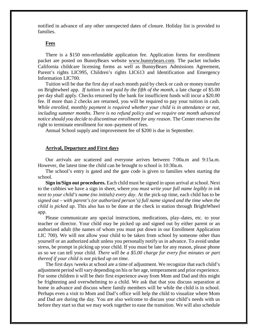notified in advance of any other unexpected dates of closure. Holiday list is provided to families.

#### **Fees**

There is a \$150 non-refundable application fee. Application forms for enrollment packet are posted on BunnyBears website www.bunnybears.com. The packet includes California childcare licensing forms as well as BunnyBears Admissions Agreement, Parent's rights LIC995, Children's rights LIC613 and Identification and Emergency Information LIC700.

Tuition will be due the first day of each month paid by check or cash or money transfer on Brightwheel app. *If tuition is not paid by the fifth of the month*, a late charge of \$5.00 per day shall apply. Checks returned by the bank for insufficient funds will incur a \$20.00 fee. If more than 2 checks are returned, you will be required to pay your tuition in cash. *While enrolled, monthly payment is required whether your child is in attendance or not, including summer months. There is no refund policy and we require one month advanced notice should you decide to discontinue enrollment for any reason*. The Center reserves the right to terminate enrollment for non–payment of fees.

Annual School supply and improvement fee of \$200 is due in September.

#### **Arrival, Departure and First days**

Our arrivals are scattered and everyone arrives between 7:00a.m and 9:15a.m. However, the latest time the child can be brought to school is 10:30a.m.

The school's entry is gated and the gate code is given to families when starting the school.

**Sign in/Sign out procedures.** Each child must be signed in upon arrival at school. Next to the cubbies we have a sign in sheet, where *you must write your full name legibly in ink next to your child's name (no initials) every day*. At the pick-up time, each child has to be *signed out – with parent's (or authorized person's) full name signed and the time when the child is picked up*. This also has to be done at the check in station through BrightWheel app.

Please communicate any special instructions, medications, play–dates, etc. to your teacher or director. Your child may be picked up and signed out by either parent or an authorized adult (the names of whom you must put down in our Enrollment Application LIC 700). We will not allow your child to be taken from school by someone other than yourself or an authorized adult unless you personally notify us in advance. To avoid undue stress, be prompt in picking up your child. If you must be late for any reason, please phone us so we can tell your child. *There will be a \$5.00 charge for every five minutes or part thereof if your child is not picked up on time.* 

The first days /weeks at school are a time of adjustment. We recognize that each child's adjustment period will vary depending on his or her age, temperament and prior experience. For some children it will be their first experience away from Mom and Dad and this might be frightening and overwhelming to a child. We ask that that you discuss separation at home in advance and discuss where family members will be while the child is in school. Perhaps even a visit to Mom and Dad's office will help the child to visualize where Mom and Dad are during the day. You are also welcome to discuss your child's needs with us before they start so that we may work together to ease the transition. We will also schedule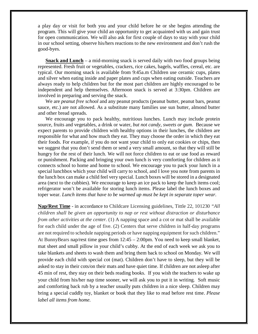a play day or visit for both you and your child before he or she begins attending the program. This will give your child an opportunity to get acquainted with us and gain trust for open communication. We will also ask for first couple of days to stay with your child in our school setting, observe his/hers reactions to the new environment and don't rush the good-byes.

**Snack and Lunch** – a mid-morning snack is served daily with two food groups being represented. Fresh fruit or vegetables, crackers, rice cakes, bagels, waffles, cereal, etc. are typical. Our morning snack is available from 9:45a.m Children use ceramic cups, plates and silver when eating inside and paper plates and cups when eating outside. Teachers are always ready to help children but for the most part children are highly encouraged to be independent and help themselves. Afternoon snack is served at 3:30pm. Children are involved in preparing and serving the snack.

We are *peanut free school* and any peanut products (peanut butter, peanut bars, peanut sauce, etc.) are not allowed. As a substitute many families use sun butter, almond butter and other bread spreads.

We encourage you to pack healthy, nutritious lunches. Lunch may include protein source, fruits and vegetables, a drink or water, *but not candy, sweets or gum*. Because we expect parents to provide children with healthy options in their lunches, the children are responsible for what and how much they eat. They may choose the order in which they eat their foods. For example, if you do not want your child to only eat cookies or chips, then we suggest that you don't send them or send a very small amount, so that they will still be hungry for the rest of their lunch. We will not force children to eat or use food as reward or punishment. Packing and bringing your own lunch is very comforting for children as it connects school to home and home to school. We encourage you to pack your lunch in a special lunchbox which your child will carry to school, and I love you note from parents in the lunch box can make a child feel very special. Lunch boxes will be stored in a designated area (next to the cubbies). We encourage to keep an ice pack to keep the lunch items cool; refrigerator won't be available for storing lunch items. Please label the lunch boxes and toper wear. *Lunch items that have to be warmed up must be kept in separate toper wear*.

**Nap/Rest Time** - in accordance to Childcare Licensing guidelines, Tittle 22, 101230 *"All children shall be given an opportunity to nap or rest without distraction or disturbance from other activities at the center.* (1) A napping space and a cot or mat shall be available for each child under the age of five. (2) Centers that serve children in half-day programs are not required to schedule napping periods or have napping equipment for such children." At BunnyBears nap/rest time goes from 12:45 – 2:00pm. You need to keep small blanket, mat sheet and small pillow in your child's cubby. At the end of each week we ask you to take blankets and sheets to wash them and bring them back to school on Monday. We will provide each child with special cot (mat). Children don't have to sleep, but they will be asked to stay in their cots/on their mats and have quiet time. If children are not asleep after 45 min of rest, they stay on their beds reading books. If you wish the teachers to wake up your child from his/her nap time sooner, we will ask you to put it in writing. Soft music and comforting back rub by a teacher usually puts children in a nice sleep. Children may bring a special cuddly toy, blanket or book that they like to read before rest time. *Please label all items from home.*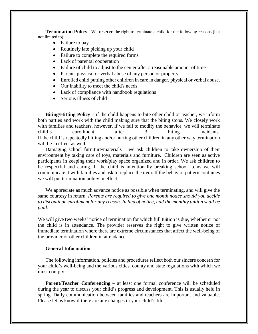**Termination Policy** - We reserve the right to terminate a child for the following reasons (but not limited to):

- Failure to pay
- Routinely late picking up your child
- Failure to complete the required forms
- Lack of parental cooperation
- Failure of child to adjust to the center after a reasonable amount of time
- Parents physical or verbal abuse of any person or property
- Enrolled child putting other children in care in danger, physical or verbal abuse.
- Our inability to meet the child's needs
- Lack of compliance with handbook regulations
- Serious illness of child

**Biting/Hitting Policy –** if the child happens to bite other child or teacher, we inform both parties and work with the child making sure that the biting stops. We closely work with families and teachers, however, if we fail to modify the behavior, we will terminate child's enrollment after 3 biting incidents. If the child is repeatedly hitting and/or hurting other children in any other way termination will be in effect as well.

Damaging school furniture/materials – we ask children to take ownership of their environment by taking care of toys, materials and furniture. Children are seen as active participants in keeping their work/play space organized and in order. We ask children to be respectful and caring. If the child is intentionally breaking school items we will communicate it with families and ask to replace the item. If the behavior pattern continues we will put termination policy in effect.

We appreciate as much advance notice as possible when terminating, and will give the same courtesy in return*. Parents are required to give one month notice should you decide to discontinue enrollment for any reason. In lieu of notice, half the monthly tuition shall be paid.* 

We will give two weeks' notice of termination for which full tuition is due, whether or not the child is in attendance. The provider reserves the right to give written notice of immediate termination where there are extreme circumstances that affect the well-being of the provider or other children in attendance.

#### **General Information**

The following information, policies and procedures reflect both our sincere concern for your child's well-being and the various cities, county and state regulations with which we must comply:

**Parent/Teacher Conferencing** – at least one formal conference will be scheduled during the year to discuss your child's progress and development. This is usually held in spring. Daily communication between families and teachers are important and valuable. Please let us know if there are any changes in your child's life.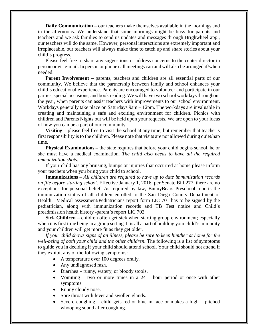**Daily Communication** – our teachers make themselves available in the mornings and in the afternoons. We understand that some mornings might be busy for parents and teachers and we ask families to send us updates and messages through Brighwheel app., our teachers will do the same. However, personal interactions are extremely important and irreplaceable, our teachers will always make time to catch up and share stories about your child's progress.

Please feel free to share any suggestions or address concerns to the center director in person or via e-mail. In person or phone call meetings can and will also be arranged if/when needed.

**Parent Involvement** – parents, teachers and children are all essential parts of our community. We believe that the partnership between family and school enhances your child's educational experience. Parents are encouraged to volunteer and participate in our parties, special occasions, and book reading. We will have two school workdays throughout the year, when parents can assist teachers with improvements to our school environment. Workdays generally take place on Saturdays 9am – 12pm. The workdays are invaluable in creating and maintaining a safe and exciting environment for children. Picnics with children and Parents Nights out will be held upon your requests. We are open to your ideas of how you can be a part of our community.

**Visiting** – please feel free to visit the school at any time, but remember that teacher's first responsibility is to the children. Please note that visits are not allowed during quiet/nap time.

**Physical Examinations** – the state requires that before your child begins school, he or she must have a medical examination. *The child also needs to have all the required immunization shots.* 

If your child has any bruising, bumps or injuries that occurred at home please inform your teachers when you bring your child to school.

**Immunizations** – *All children are required to have up to date immunization records on file before starting school*. Effective January 1, 2016, per Senate Bill 277, there are no exceptions for personal belief. As required by law, BunnyBears Preschool reports the immunization status of all children enrolled to the San Diego County Department of Health. Medical assessment/Pediatricians report form LIC 701 has to be signed by the pediatrician, along with immunization records and TB Test notice and Child's preadmission health history -parent's report LIC 702

**Sick Children** – children often get sick when starting group environment; especially when it is first time being in a group setting. It is all a part of building your child's immunity and your children will get more fit as they get older.

*If your child shows signs of an illness, please be sure to keep him/her at home for the well-being of both your child and the other children.* The following is a list of symptoms to guide you in deciding if your child should attend school. Your child should not attend if they exhibit any of the following symptoms:

- A temperature over 100 degrees orally.
- Any undiagnosed rash.
- Diarrhea runny, watery, or bloody stools.
- Vomiting two or more times in a  $24$  hour period or once with other symptoms.
- Runny cloudy nose.
- Sore throat with fever and swollen glands.
- Severe coughing child gets red or blue in face or makes a high pitched whooping sound after coughing.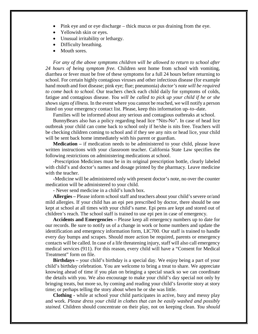- Pink eye and or eye discharge thick mucus or pus draining from the eye.
- Yellowish skin or eyes.
- Unusual irritability or lethargy.
- Difficulty breathing.
- Mouth sores.

*For any of the above symptoms children will be allowed to return to school after 24 hours of being symptom free.* Children sent home from school with vomiting, diarrhea or fever must be free of these symptoms for a full 24 hours before returning to school. For certain highly contagious viruses and other infectious disease (for example hand mouth and foot disease; pink eye; flue; pneumonia) *doctor's note will be required to come back to school.* Our teachers check each child daily for symptoms of colds, fatigue and contagious disease. *You will be called to pick up your child if he or she shows signs of illness*. In the event where you cannot be reached, we will notify a person listed on your emergency contact list. Please, keep this information up–to–date.

Families will be informed about any serious and contagious outbreaks at school.

BunnyBears also has a policy regarding head lice "Nits-No". In case of head lice outbreak your child can come back to school only if he/she is nits free. Teachers will be checking children coming to school and if they see any nits or head lice, your child will be sent back home immediately with his parent or guardian.

**Medication –** if medication needs to be administered to your child, please leave written instructions with your classroom teacher. California State Law specifies the following restrictions on administering medications at school.

**-**Prescription Medicines must be in its original prescription bottle, clearly labeled with child's and doctor's names and dosage printed by the pharmacy. Leave medicine with the teacher.

**-**Medicine will be administered only with present doctor's note, no over the counter medication will be administered to your child.

**-** Never send medicine in a child's lunch box.

**Allergies –** Please inform school staff and teachers about your child's severe or/and mild allergies. If your child has an epi pen prescribed by doctor, there should be one kept at school at all times with your child's name. Epi pens are kept and stored out of children's reach. The school staff is trained to use epi pen in case of emergency.

**Accidents and Emergencies –** Please keep all emergency numbers up to date for our records. Be sure to notify us of a change in work or home numbers and update the identification and emergency information form, LIC700. Our staff is trained to handle every day bumps and scrapes. Should more action be required, parents or emergency contacts will be called. In case of a life threatening injury, staff will also call emergency medical services (911). For this reason, every child will have a "Consent for Medical Treatment" form on file.

**Birthdays –** your child's birthday is a special day. We enjoy being a part of your child's birthday celebration. You are welcome to bring a treat to share. We appreciate knowing ahead of time if you plan on bringing a special snack so we can coordinate the details with you. We also encourage to make your child's day special not only by bringing treats, but more so, by coming and reading your child's favorite story at story time; or perhaps telling the story about when he or she was little.

**Clothing -** while at school your child participates in active, busy and messy play and work. *Please dress your child in clothes that can be easily washed and possibly stained.* Children should concentrate on their play, not on keeping clean. *You should*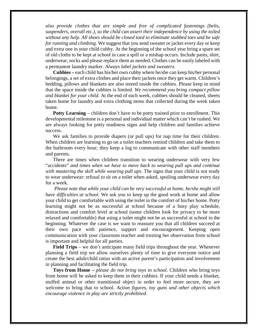*also provide clothes that are simple and free of complicated fastenings (belts, suspenders, overall etc.), so the child can assert their independence by using the toiled without any help*. *All shoes should be closed toed to eliminate stubbed toes and be safe for running and climbing.* We suggest that you send sweater or jacket every day or keep and extra one in your child cubby. At the beginning of the school year bring a spare set of old cloths to be kept at school in case a spill or a mishap occurs. Include pants, shirt, underwear, socks and please replace them as needed. Clothes can be easily labeled with a permanent laundry marker. *Always label jackets and sweaters.*

**Cubbies –** each child has his/her own cubby where he/she can keep his/her personal belongings, a set of extra clothes and place their jackets once they get warm. Children's bedding, pillows and blankets are also stored inside the cubbies. Please keep in mind that the space inside the cubbies is limited. *We recommend you bring compact pillow and blanket for your child.* At the end of each week, cubbies should be cleaned, sheets taken home for laundry and extra clothing items that collected during the week taken home.

**Potty Learning** – children don't have to be potty trained prior to enrollment. This developmental milestone is a personal and individual matter which can't be rushed. We are always looking for potty readiness signs and help children and families achieve success.

We ask families to provide diapers (or pull ups) for nap time for their children. When children are learning to go on a toilet teachers remind children and take them to the bathroom every hour; they keep a log to communicate with other staff members and parents.

There are times when children transition to wearing underwear with very few "accidents" *and times when we have to move back to wearing pull ups and continue with mastering the skill while wearing pull ups*. The signs that your child is not ready to wear underwear: refusal to sit on a toilet when asked, spoiling underwear every day for a week.

*Please note that while your child can be very successful at home, he/she might still have difficulties at school*. We ask you to keep up the good work at home and allow your child to get comfortable with using the toilet in the comfort of his/her home. Potty learning might not be as successful at school because of a busy play schedule, distractions and comfort level at school (some children look for privacy to be more relaxed and comfortable) that using a toilet might not be as successful at school in the beginning. Whatever the case is we want to reassure you that all children succeed at their own pace with patience, support and encouragement. Keeping open communication with your classroom teacher and trusting her observation from school is important and helpful for all parties.

**Field Trips** – we don't anticipate many field trips throughout the year. Whenever planning a field trip we allow ourselves plenty of time to give everyone notice and create the best adult/child ratios with an active parent's participation and involvement in planning and facilitating the field trip.

**Toys from Home –** *please do not bring toys to school*. Children who bring toys from home will be asked to keep them in their cubbies. If your child needs a blanket, stuffed animal or other transitional object in order to feel more secure, they are welcome to bring that to school. *Action figures, toy guns and other objects which encourage violence in play are strictly prohibited.*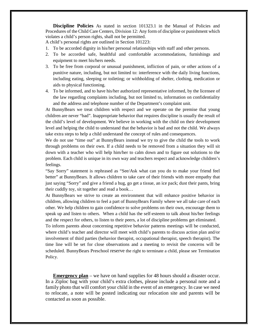**Discipline Policies** As stated in section 101323.1 in the Manual of Policies and Procedures of the Child Care Centers, Division 12: Any form of discipline or punishment which violates a child's person rights, shall not be permitted.

A child's personal rights are outlined in Section 101223:

- 1. To be accorded dignity in his/her personal relationships with staff and other persons.
- 2. To be accorded safe, healthful and comfortable accommodations, furnishings and equipment to meet his/hers needs.
- 3. To be free from corporal or unusual punishment, infliction of pain, or other actions of a punitive nature, including, but not limited to: interference with the daily living functions, including eating, sleeping or toileting; or withholding of shelter, clothing, medication or aids to physical functioning.
- 4. To be informed, and to have his/her authorized representative informed, by the licensee of the law regarding complaints including, but not limited to, information on confidentiality and the address and telephone number of the Department's complaint unit.

At BunnyBears we treat children with respect and we operate on the premise that young children are never "bad". Inappropriate behavior that requires discipline is usually the result of the child's level of development. We believe in working with the child on their development level and helping the child to understand that the behavior is bad and not the child. We always take extra steps to help a child understand the concept of rules and consequences.

We do not use "time out" at BunnyBears instead we try to give the child the tools to work through problems on their own. If a child needs to be removed from a situation they will sit down with a teacher who will help him/her to calm down and to figure out solutions to the problem. Each child is unique in its own way and teachers respect and acknowledge children's feelings.

"Say Sorry" statement is rephrased as "See/Ask what can you do to make your friend feel better" at BunnyBears. It allows children to take care of their friends with more empathy that just saying "Sorry" and give a friend a hug, go get a tissue, an ice pack; dust their pants, bring their cuddly toy, sit together and read a book…

At BunnyBears we strive to create an environment that will enhance positive behavior in children, allowing children to feel a part of BunnyBears Family where we all take care of each other. We help children to gain confidence to solve problems on their own, encourage them to speak up and listen to others. When a child has the self-esteem to talk about his/her feelings and the respect for others, to listen to their peers, a lot of discipline problems get eliminated.

To inform parents about concerning repetitive behavior patterns meetings will be conducted, where child's teacher and director will meet with child's parents to discuss action plan and/or involvement of third parties (behavior therapist, occupational therapist, speech therapist). The time line will be set for close observations and a meeting to revisit the concerns will be scheduled. BunnyBears Preschool reserve the right to terminate a child, please see Termination Policy.

**Emergency plan** – we have on hand supplies for 48 hours should a disaster occur. In a Ziploc bag with your child's extra clothes, please include a personal note and a family photo that will comfort your child in the event of an emergency. In case we need to relocate, a note will be posted indicating our relocation site and parents will be contacted as soon as possible.